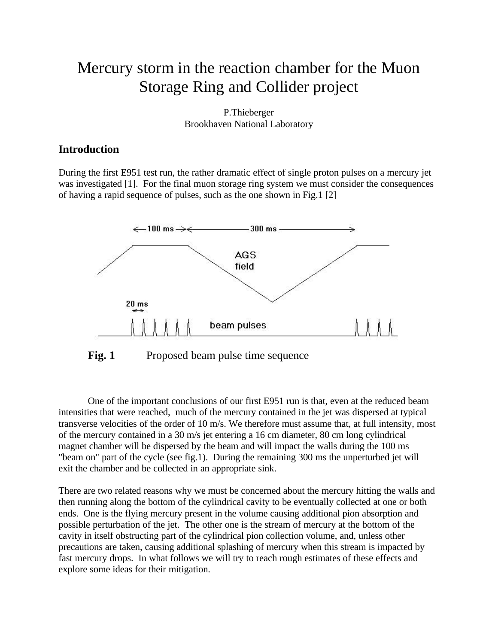# Mercury storm in the reaction chamber for the Muon Storage Ring and Collider project

P.Thieberger Brookhaven National Laboratory

#### **Introduction**

During the first E951 test run, the rather dramatic effect of single proton pulses on a mercury jet was investigated [1]. For the final muon storage ring system we must consider the consequences of having a rapid sequence of pulses, such as the one shown in Fig.1 [2]



Fig. 1 Proposed beam pulse time sequence

One of the important conclusions of our first E951 run is that, even at the reduced beam intensities that were reached, much of the mercury contained in the jet was dispersed at typical transverse velocities of the order of 10 m/s. We therefore must assume that, at full intensity, most of the mercury contained in a 30 m/s jet entering a 16 cm diameter, 80 cm long cylindrical magnet chamber will be dispersed by the beam and will impact the walls during the 100 ms "beam on" part of the cycle (see fig.1). During the remaining 300 ms the unperturbed jet will exit the chamber and be collected in an appropriate sink.

There are two related reasons why we must be concerned about the mercury hitting the walls and then running along the bottom of the cylindrical cavity to be eventually collected at one or both ends. One is the flying mercury present in the volume causing additional pion absorption and possible perturbation of the jet. The other one is the stream of mercury at the bottom of the cavity in itself obstructing part of the cylindrical pion collection volume, and, unless other precautions are taken, causing additional splashing of mercury when this stream is impacted by fast mercury drops. In what follows we will try to reach rough estimates of these effects and explore some ideas for their mitigation.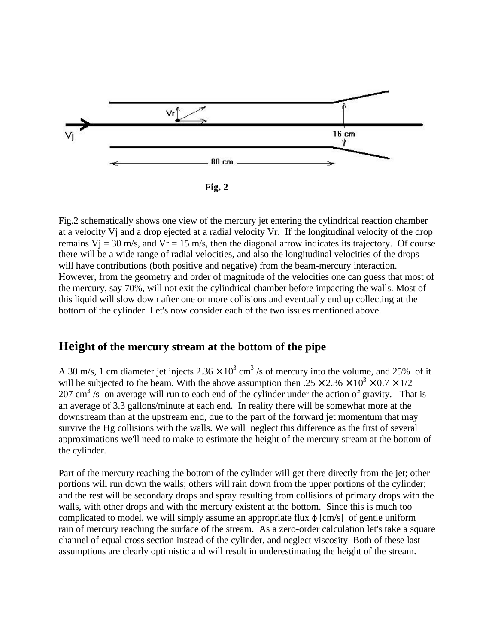

**Fig. 2**

Fig.2 schematically shows one view of the mercury jet entering the cylindrical reaction chamber at a velocity Vj and a drop ejected at a radial velocity Vr. If the longitudinal velocity of the drop remains  $V_1 = 30$  m/s, and  $V_r = 15$  m/s, then the diagonal arrow indicates its trajectory. Of course there will be a wide range of radial velocities, and also the longitudinal velocities of the drops will have contributions (both positive and negative) from the beam-mercury interaction. However, from the geometry and order of magnitude of the velocities one can guess that most of the mercury, say 70%, will not exit the cylindrical chamber before impacting the walls. Most of this liquid will slow down after one or more collisions and eventually end up collecting at the bottom of the cylinder. Let's now consider each of the two issues mentioned above.

### **Height of the mercury stream at the bottom of the pipe**

A 30 m/s, 1 cm diameter jet injects  $2.36 \times 10^3$  cm<sup>3</sup> /s of mercury into the volume, and 25% of it will be subjected to the beam. With the above assumption then  $.25 \times 2.36 \times 10^3 \times 0.7 \times 1/2$  $207 \text{ cm}^3$  /s on average will run to each end of the cylinder under the action of gravity. That is an average of 3.3 gallons/minute at each end. In reality there will be somewhat more at the downstream than at the upstream end, due to the part of the forward jet momentum that may survive the Hg collisions with the walls. We will neglect this difference as the first of several approximations we'll need to make to estimate the height of the mercury stream at the bottom of the cylinder.

Part of the mercury reaching the bottom of the cylinder will get there directly from the jet; other portions will run down the walls; others will rain down from the upper portions of the cylinder; and the rest will be secondary drops and spray resulting from collisions of primary drops with the walls, with other drops and with the mercury existent at the bottom. Since this is much too complicated to model, we will simply assume an appropriate flux  $\varphi$  [cm/s] of gentle uniform rain of mercury reaching the surface of the stream. As a zero-order calculation let's take a square channel of equal cross section instead of the cylinder, and neglect viscosity Both of these last assumptions are clearly optimistic and will result in underestimating the height of the stream.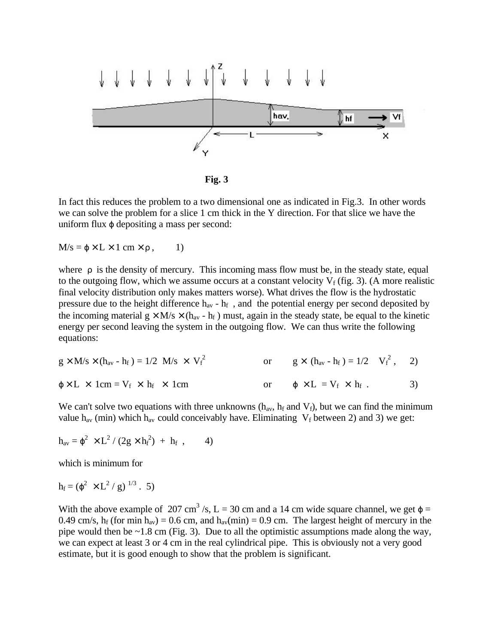

**Fig. 3**

In fact this reduces the problem to a two dimensional one as indicated in Fig.3. In other words we can solve the problem for a slice 1 cm thick in the Y direction. For that slice we have the uniform flux  $\varphi$  depositing a mass per second:

 $M/s = \varphi \times L \times 1$  cm  $\times \rho$ , 1)

where  $\rho$  is the density of mercury. This incoming mass flow must be, in the steady state, equal to the outgoing flow, which we assume occurs at a constant velocity  $V_f$  (fig. 3). (A more realistic final velocity distribution only makes matters worse). What drives the flow is the hydrostatic pressure due to the height difference  $h_{av}$  -  $h_f$ , and the potential energy per second deposited by the incoming material  $g \times M/s \times (h_{av} - h_f)$  must, again in the steady state, be equal to the kinetic energy per second leaving the system in the outgoing flow. We can thus write the following equations:

$$
g \times M/s \times (h_{av} - h_f) = 1/2 M/s \times V_f^2
$$
 or  $g \times (h_{av} - h_f) = 1/2 V_f^2$ , 2)  
\n $\varphi \times L \times 1 \text{cm} = V_f \times h_f \times 1 \text{cm}$  or  $\varphi \times L = V_f \times h_f$ . 3)

We can't solve two equations with three unknowns  $(h_{av}, h_f \text{ and } V_f)$ , but we can find the minimum value h<sub>av</sub> (min) which h<sub>av</sub> could conceivably have. Eliminating  $V_f$  between 2) and 3) we get:

$$
h_{av} = \varphi^2 \times L^2 / (2g \times h_f^2) + h_f , \qquad 4)
$$

which is minimum for

$$
h_f = (\varphi^2 \times L^2 / g)^{1/3} . 5)
$$

With the above example of 207 cm<sup>3</sup>/s, L = 30 cm and a 14 cm wide square channel, we get  $\varphi$  = 0.49 cm/s,  $h_f$  (for min  $h_{av}$ ) = 0.6 cm, and  $h_{av}$ (min) = 0.9 cm. The largest height of mercury in the pipe would then be  $\sim$ 1.8 cm (Fig. 3). Due to all the optimistic assumptions made along the way, we can expect at least 3 or 4 cm in the real cylindrical pipe. This is obviously not a very good estimate, but it is good enough to show that the problem is significant.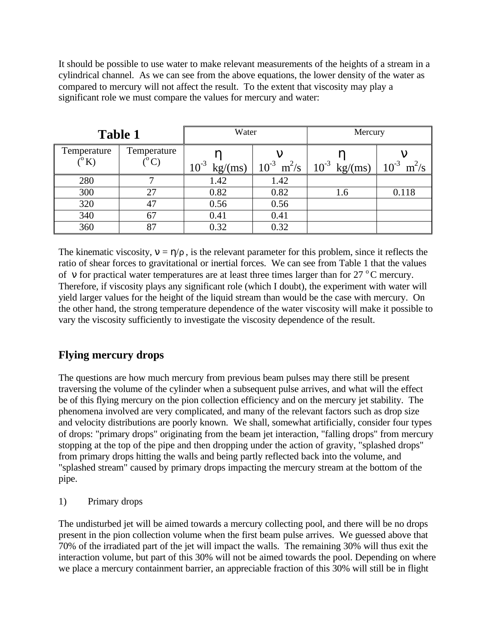It should be possible to use water to make relevant measurements of the heights of a stream in a cylindrical channel. As we can see from the above equations, the lower density of the water as compared to mercury will not affect the result. To the extent that viscosity may play a significant role we must compare the values for mercury and water:

| <b>Table 1</b>               |                                      | Water             |      | Mercury                                         |                             |
|------------------------------|--------------------------------------|-------------------|------|-------------------------------------------------|-----------------------------|
| Temperature<br>$(^{\circ}K)$ | Temperature<br>$({}^{\rm o}{\rm C})$ | $10^{-3}$ kg/(ms) |      | $10^{-3}$ m <sup>2</sup> /s   $10^{-3}$ kg/(ms) | $10^{-3}$ m <sup>2</sup> /s |
| 280                          |                                      | 1.42              | 1.42 |                                                 |                             |
| 300                          | 27                                   | 0.82              | 0.82 | 1.6                                             | 0.118                       |
| 320                          |                                      | 0.56              | 0.56 |                                                 |                             |
| 340                          | 67                                   | 0.41              | 0.41 |                                                 |                             |
| 360                          | 87                                   | 0.32              | 0.32 |                                                 |                             |

The kinematic viscosity,  $v = \eta/\rho$ , is the relevant parameter for this problem, since it reflects the ratio of shear forces to gravitational or inertial forces. We can see from Table 1 that the values of v for practical water temperatures are at least three times larger than for  $27^{\circ}$ C mercury. Therefore, if viscosity plays any significant role (which I doubt), the experiment with water will yield larger values for the height of the liquid stream than would be the case with mercury. On the other hand, the strong temperature dependence of the water viscosity will make it possible to vary the viscosity sufficiently to investigate the viscosity dependence of the result.

## **Flying mercury drops**

The questions are how much mercury from previous beam pulses may there still be present traversing the volume of the cylinder when a subsequent pulse arrives, and what will the effect be of this flying mercury on the pion collection efficiency and on the mercury jet stability. The phenomena involved are very complicated, and many of the relevant factors such as drop size and velocity distributions are poorly known. We shall, somewhat artificially, consider four types of drops: "primary drops" originating from the beam jet interaction, "falling drops" from mercury stopping at the top of the pipe and then dropping under the action of gravity, "splashed drops" from primary drops hitting the walls and being partly reflected back into the volume, and "splashed stream" caused by primary drops impacting the mercury stream at the bottom of the pipe.

1) Primary drops

The undisturbed jet will be aimed towards a mercury collecting pool, and there will be no drops present in the pion collection volume when the first beam pulse arrives. We guessed above that 70% of the irradiated part of the jet will impact the walls. The remaining 30% will thus exit the interaction volume, but part of this 30% will not be aimed towards the pool. Depending on where we place a mercury containment barrier, an appreciable fraction of this 30% will still be in flight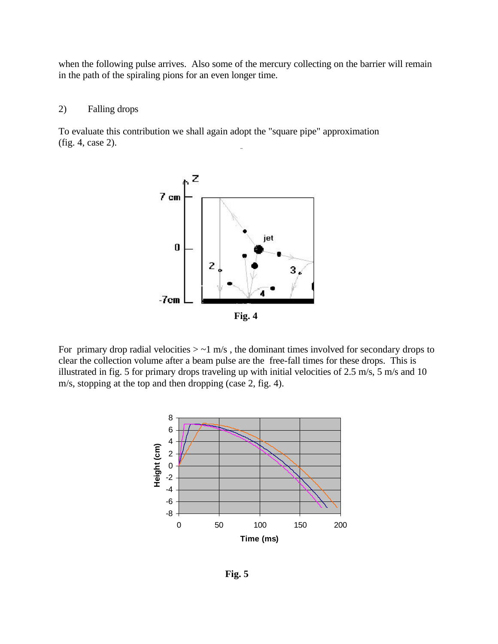when the following pulse arrives. Also some of the mercury collecting on the barrier will remain in the path of the spiraling pions for an even longer time.

#### 2) Falling drops

To evaluate this contribution we shall again adopt the "square pipe" approximation (fig. 4, case 2).



For primary drop radial velocities  $>$  ~1 m/s, the dominant times involved for secondary drops to clear the collection volume after a beam pulse are the free-fall times for these drops. This is illustrated in fig. 5 for primary drops traveling up with initial velocities of 2.5 m/s, 5 m/s and 10 m/s, stopping at the top and then dropping (case 2, fig. 4).



**Fig. 5**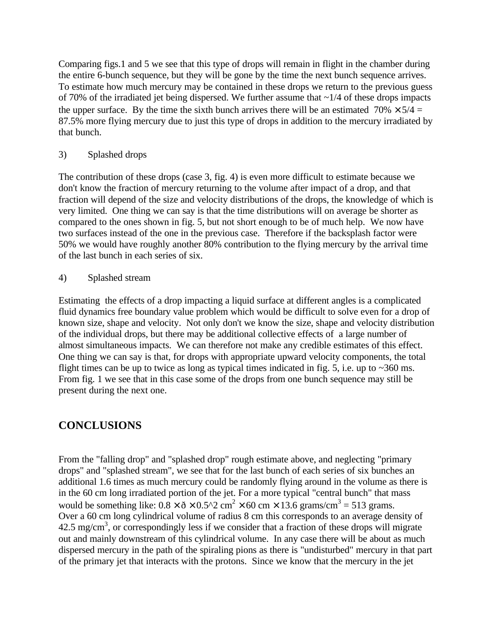Comparing figs.1 and 5 we see that this type of drops will remain in flight in the chamber during the entire 6-bunch sequence, but they will be gone by the time the next bunch sequence arrives. To estimate how much mercury may be contained in these drops we return to the previous guess of 70% of the irradiated jet being dispersed. We further assume that  $\sim$ 1/4 of these drops impacts the upper surface. By the time the sixth bunch arrives there will be an estimated  $70\% \times 5/4 =$ 87.5% more flying mercury due to just this type of drops in addition to the mercury irradiated by that bunch.

3) Splashed drops

The contribution of these drops (case 3, fig. 4) is even more difficult to estimate because we don't know the fraction of mercury returning to the volume after impact of a drop, and that fraction will depend of the size and velocity distributions of the drops, the knowledge of which is very limited. One thing we can say is that the time distributions will on average be shorter as compared to the ones shown in fig. 5, but not short enough to be of much help. We now have two surfaces instead of the one in the previous case. Therefore if the backsplash factor were 50% we would have roughly another 80% contribution to the flying mercury by the arrival time of the last bunch in each series of six.

4) Splashed stream

Estimating the effects of a drop impacting a liquid surface at different angles is a complicated fluid dynamics free boundary value problem which would be difficult to solve even for a drop of known size, shape and velocity. Not only don't we know the size, shape and velocity distribution of the individual drops, but there may be additional collective effects of a large number of almost simultaneous impacts. We can therefore not make any credible estimates of this effect. One thing we can say is that, for drops with appropriate upward velocity components, the total flight times can be up to twice as long as typical times indicated in fig. 5, i.e. up to  $\sim$ 360 ms. From fig. 1 we see that in this case some of the drops from one bunch sequence may still be present during the next one.

### **CONCLUSIONS**

From the "falling drop" and "splashed drop" rough estimate above, and neglecting "primary drops" and "splashed stream", we see that for the last bunch of each series of six bunches an additional 1.6 times as much mercury could be randomly flying around in the volume as there is in the 60 cm long irradiated portion of the jet. For a more typical "central bunch" that mass would be something like:  $0.8 \times \delta \times 0.5^2$  cm<sup>2</sup> × 60 cm × 13.6 grams/cm<sup>3</sup> = 513 grams. Over a 60 cm long cylindrical volume of radius 8 cm this corresponds to an average density of  $42.5 \text{ mg/cm}^3$ , or correspondingly less if we consider that a fraction of these drops will migrate out and mainly downstream of this cylindrical volume. In any case there will be about as much dispersed mercury in the path of the spiraling pions as there is "undisturbed" mercury in that part of the primary jet that interacts with the protons. Since we know that the mercury in the jet